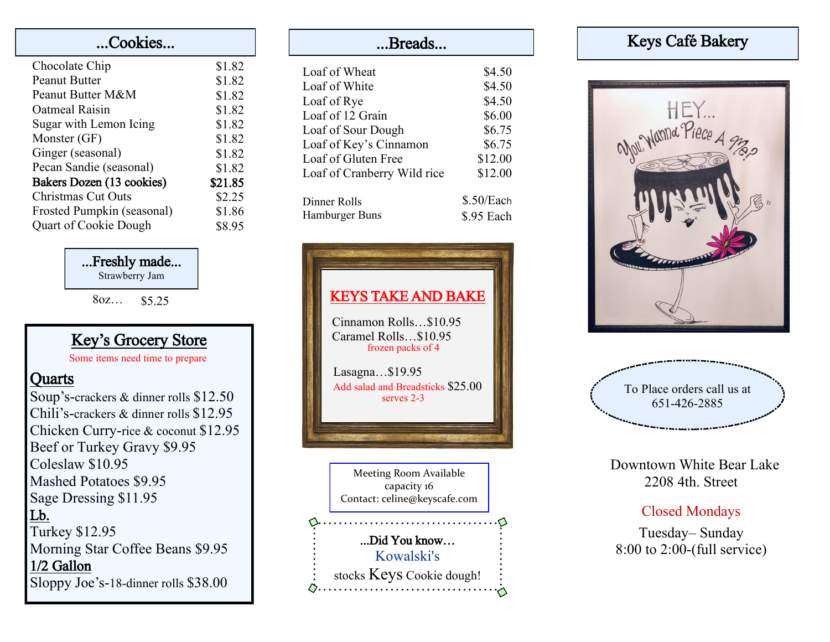| Cookies                      |         |  |
|------------------------------|---------|--|
| Chocolate Chip               | \$1.82  |  |
| <b>Peanut Butter</b>         | \$1.82  |  |
| Peanut Butter M&M            | \$1.82  |  |
| Oatmeal Raisin               | \$1.82  |  |
| Sugar with Lemon Icing       | \$1.82  |  |
| Monster (GF)                 | \$1.82  |  |
| Ginger (seasonal)            | \$1.82  |  |
| Pecan Sandie (seasonal)      | \$1.82  |  |
| Bakers Dozen (13 cookies)    | \$21.85 |  |
| <b>Christmas Cut Outs</b>    | \$2.25  |  |
| Frosted Pumpkin (seasonal)   | \$1.86  |  |
| <b>Quart of Cookie Dough</b> | \$8.95  |  |

### ...Freshly made...

Strawberry Jam

8oz… \$5.25

## Key's Grocery Store

Some items need time to prepare

### **Quarts**

Soup's-crackers & dinner rolls \$12.50 Chili's-crackers & dinner rolls \$12.95 Chicken Curry-rice & coconut \$12.95 Beef or Turkey Gravy \$9.95 Coleslaw \$10.95 Mashed Potatoes \$9.95 Sage Dressing \$11.95 Lb. Turkey \$12.95 Morning Star Coffee Beans \$9.95 1/2 Gallon Sloppy Joe's-18-dinner rolls \$38.00

# ...Breads...

| Loaf of Wheat                                 | \$4.50            |
|-----------------------------------------------|-------------------|
| Loaf of White<br>Loaf of Rye                  | \$4.50<br>\$4.50  |
| Loaf of 12 Grain                              | \$6.00            |
| Loaf of Sour Dough                            | \$6.75            |
| Loaf of Key's Cinnamon<br>Loaf of Gluten Free | \$6.75<br>\$12.00 |
| Loaf of Cranberry Wild rice                   | \$12.00           |
| Dinner Rolls                                  | \$.50/Each        |
| Hamburger Buns                                | \$.95 Each        |



# Keys Café Bakery



To Place orders call us at 651-426-2885

 Downtown White Bear Lake 2208 4th. Street

## Closed Mondays

Tuesday– Sunday 8:00 to 2:00-(full service)